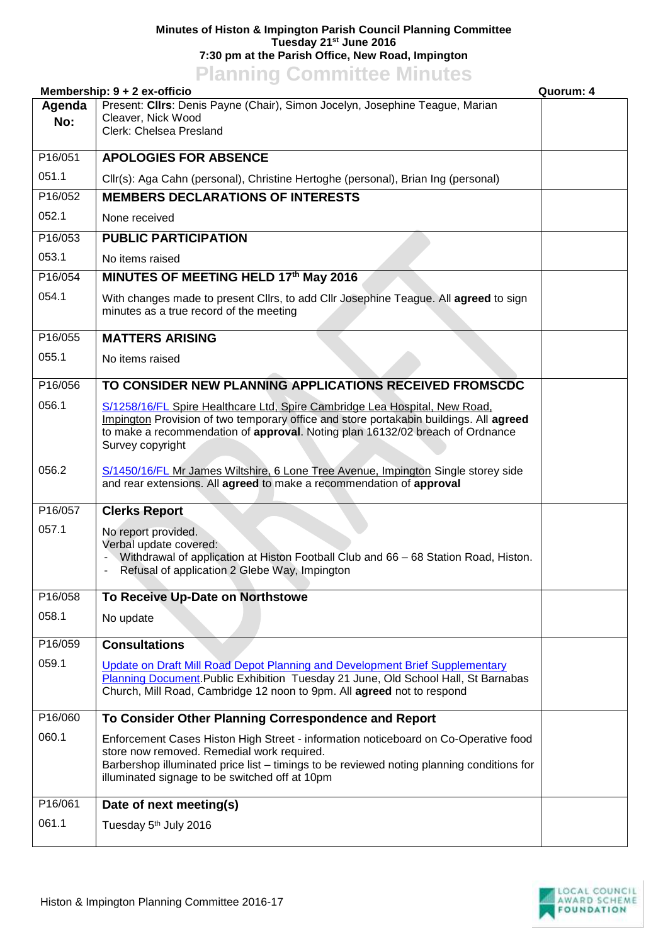## **Minutes of Histon & Impington Parish Council Planning Committee Tuesday 21st June 2016 7:30 pm at the Parish Office, New Road, Impington**

## **Planning Committee Minutes**

|               | Membership: 9 + 2 ex-officio                                                                                                                                                                                                                                                     | Quorum: 4 |
|---------------|----------------------------------------------------------------------------------------------------------------------------------------------------------------------------------------------------------------------------------------------------------------------------------|-----------|
| Agenda<br>No: | Present: Clirs: Denis Payne (Chair), Simon Jocelyn, Josephine Teague, Marian<br>Cleaver, Nick Wood<br>Clerk: Chelsea Presland                                                                                                                                                    |           |
| P16/051       | <b>APOLOGIES FOR ABSENCE</b>                                                                                                                                                                                                                                                     |           |
| 051.1         | Cllr(s): Aga Cahn (personal), Christine Hertoghe (personal), Brian Ing (personal)                                                                                                                                                                                                |           |
| P16/052       | <b>MEMBERS DECLARATIONS OF INTERESTS</b>                                                                                                                                                                                                                                         |           |
| 052.1         | None received                                                                                                                                                                                                                                                                    |           |
| P16/053       | <b>PUBLIC PARTICIPATION</b>                                                                                                                                                                                                                                                      |           |
| 053.1         | No items raised                                                                                                                                                                                                                                                                  |           |
| P16/054       | MINUTES OF MEETING HELD 17th May 2016                                                                                                                                                                                                                                            |           |
| 054.1         | With changes made to present Cllrs, to add Cllr Josephine Teague. All agreed to sign<br>minutes as a true record of the meeting                                                                                                                                                  |           |
| P16/055       | <b>MATTERS ARISING</b>                                                                                                                                                                                                                                                           |           |
| 055.1         | No items raised                                                                                                                                                                                                                                                                  |           |
| P16/056       | TO CONSIDER NEW PLANNING APPLICATIONS RECEIVED FROMSCDC                                                                                                                                                                                                                          |           |
| 056.1         | S/1258/16/FL Spire Healthcare Ltd, Spire Cambridge Lea Hospital, New Road,<br>Impington Provision of two temporary office and store portakabin buildings. All agreed<br>to make a recommendation of approval. Noting plan 16132/02 breach of Ordnance<br>Survey copyright        |           |
| 056.2         | S/1450/16/FL Mr James Wiltshire, 6 Lone Tree Avenue, Impington Single storey side<br>and rear extensions. All agreed to make a recommendation of approval                                                                                                                        |           |
| P16/057       | <b>Clerks Report</b>                                                                                                                                                                                                                                                             |           |
| 057.1         | No report provided.<br>Verbal update covered:<br>Withdrawal of application at Histon Football Club and 66 - 68 Station Road, Histon.<br>Refusal of application 2 Glebe Way, Impington                                                                                            |           |
| P16/058       | To Receive Up-Date on Northstowe                                                                                                                                                                                                                                                 |           |
| 058.1         | No update                                                                                                                                                                                                                                                                        |           |
| P16/059       | <b>Consultations</b>                                                                                                                                                                                                                                                             |           |
| 059.1         | Update on Draft Mill Road Depot Planning and Development Brief Supplementary<br>Planning Document. Public Exhibition Tuesday 21 June, Old School Hall, St Barnabas<br>Church, Mill Road, Cambridge 12 noon to 9pm. All agreed not to respond                                     |           |
| P16/060       | To Consider Other Planning Correspondence and Report                                                                                                                                                                                                                             |           |
| 060.1         | Enforcement Cases Histon High Street - information noticeboard on Co-Operative food<br>store now removed. Remedial work required.<br>Barbershop illuminated price list - timings to be reviewed noting planning conditions for<br>illuminated signage to be switched off at 10pm |           |
| P16/061       | Date of next meeting(s)                                                                                                                                                                                                                                                          |           |
| 061.1         | Tuesday 5 <sup>th</sup> July 2016                                                                                                                                                                                                                                                |           |